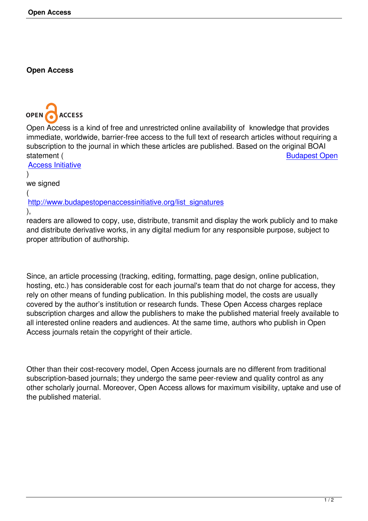## **Open Access**

## **OPEN ACCESS**

Open Access is a kind of free and unrestricted online availability of knowledge that provides immediate, worldwide, barrier-free access to the full text of research articles without requiring a subscription to the journal in which these articles are published. Based on the original BOAI statement (Separation of the Sudapest Open statement (Separation of the Sudapest Open

Access Initiative ) we signed (

[http://www.buda](http://www.budapestopenaccessinitiative.org/read)pestopenaccessinitiative.org/list\_signatures ),

readers are allowed to copy, use, distribute, transmit and display the work publicly and to make [and distribute derivative works, in any digital medium for any](http://www.budapestopenaccessinitiative.org/list_signatures) responsible purpose, subject to proper attribution of authorship.

Since, an article processing (tracking, editing, formatting, page design, online publication, hosting, etc.) has considerable cost for each journal's team that do not charge for access, they rely on other means of funding publication. In this publishing model, the costs are usually covered by the author's institution or research funds. These Open Access charges replace subscription charges and allow the publishers to make the published material freely available to all interested online readers and audiences. At the same time, authors who publish in Open Access journals retain the copyright of their article.

Other than their cost-recovery model, Open Access journals are no different from traditional subscription-based journals; they undergo the same peer-review and quality control as any other scholarly journal. Moreover, Open Access allows for maximum visibility, uptake and use of the published material.